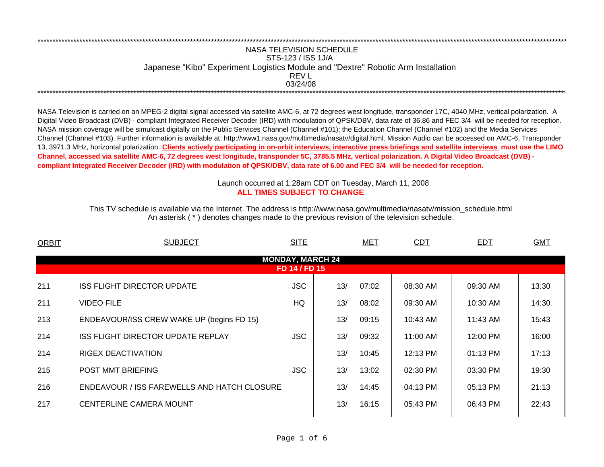## NASA TELEVISION SCHEDULESTS-123 / ISS 1J/A Japanese "Kibo" Experiment Logistics Module and "Dextre" Robotic Arm Installation 03/24/08REV L\*\*\*\*\*\*\*\*\*\*\*\*\*\*\*\*\*\*\*\*\*\*\*\*\*\*\*\*\*\*\*\*\*\*\*\*\*\*\*\*\*\*\*\*\*\*\*\*\*\*\*\*\*\*\*\*\*\*\*\*\*\*\*\*\*\*\*\*\*\*\*\*\*\*\*\*\*\*\*\*\*\*\*\*\*\*\*\*\*\*\*\*\*\*\*\*\*\*\*\*\*\*\*\*\*\*\*\*\*\*\*\*\*\*\*\*\*\*\*\*\*\*\*\*\*\*\*\*\*\*\*\*\*\*\*\*\*\*\*\*\*\*\*\*\*\*\*\*\*\*\*\*\*\*\*\*\*\*\*\*\*\*\*\*\*\*\*\*\*\*\*\*\*\*\*\*\*

\*\*\*\*\*\*\*\*\*\*\*\*\*\*\*\*\*\*\*\*\*\*\*\*\*\*\*\*\*\*\*\*\*\*\*\*\*\*\*\*\*\*\*\*\*\*\*\*\*\*\*\*\*\*\*\*\*\*\*\*\*\*\*\*\*\*\*\*\*\*\*\*\*\*\*\*\*\*\*\*\*\*\*\*\*\*\*\*\*\*\*\*\*\*\*\*\*\*\*\*\*\*\*\*\*\*\*\*\*\*\*\*\*\*\*\*\*\*\*\*\*\*\*\*\*\*\*\*\*\*\*\*\*\*\*\*\*\*\*\*\*\*\*\*\*\*\*\*\*\*\*\*\*\*\*\*\*\*\*\*\*\*\*\*\*\*\*\*\*\*\*\*\*\*\*\*\*

NASA Television is carried on an MPEG-2 digital signal accessed via satellite AMC-6, at 72 degrees west longitude, transponder 17C, 4040 MHz, vertical polarization. A Digital Video Broadcast (DVB) - compliant Integrated Receiver Decoder (IRD) with modulation of QPSK/DBV, data rate of 36.86 and FEC 3/4 will be needed for reception. NASA mission coverage will be simulcast digitally on the Public Services Channel (Channel #101); the Education Channel (Channel #102) and the Media Services Channel (Channel #103). Further information is available at: http://www1.nasa.gov/multimedia/nasatv/digital.html. Mission Audio can be accessed on AMC-6, Transponder 13, 3971.3 MHz, horizontal polarization. **Clients actively participating in on-orbit interviews, interactive press briefings and satellite interviews must use the LIMO Channel, accessed via satellite AMC-6, 72 degrees west longitude, transponder 5C, 3785.5 MHz, vertical polarization. A Digital Video Broadcast (DVB) compliant Integrated Receiver Decoder (IRD) with modulation of QPSK/DBV, data rate of 6.00 and FEC 3/4 will be needed for reception.**

## **ALL TIMES SUBJECT TO CHANGE**Launch occurred at 1:28am CDT on Tuesday, March 11, 200 8

An asterisk ( \* ) denotes changes made to the previous revision of the television schedule. This TV schedule is available via the Internet. The address is http://www.nasa.gov/multimedia/nasatv/mission\_schedule.html

| ORBIT                                    | <b>SUBJECT</b>                                     | <b>SITE</b> |     | <b>MET</b> | <b>CDT</b> | EDT      | <b>GMT</b> |  |  |  |
|------------------------------------------|----------------------------------------------------|-------------|-----|------------|------------|----------|------------|--|--|--|
| <b>MONDAY, MARCH 24</b><br>FD 14 / FD 15 |                                                    |             |     |            |            |          |            |  |  |  |
|                                          |                                                    |             |     |            |            |          |            |  |  |  |
| 211                                      | <b>ISS FLIGHT DIRECTOR UPDATE</b>                  | <b>JSC</b>  | 13/ | 07:02      | 08:30 AM   | 09:30 AM | 13:30      |  |  |  |
| 211                                      | <b>VIDEO FILE</b>                                  | HQ.         | 13/ | 08:02      | 09:30 AM   | 10:30 AM | 14:30      |  |  |  |
| 213                                      | ENDEAVOUR/ISS CREW WAKE UP (begins FD 15)          |             | 13/ | 09:15      | 10:43 AM   | 11:43 AM | 15:43      |  |  |  |
| 214                                      | ISS FLIGHT DIRECTOR UPDATE REPLAY                  | <b>JSC</b>  | 13/ | 09:32      | 11:00 AM   | 12:00 PM | 16:00      |  |  |  |
| 214                                      | RIGEX DEACTIVATION                                 |             | 13/ | 10:45      | 12:13 PM   | 01:13 PM | 17:13      |  |  |  |
| 215                                      | <b>POST MMT BRIEFING</b>                           | <b>JSC</b>  | 13/ | 13:02      | 02:30 PM   | 03:30 PM | 19:30      |  |  |  |
| 216                                      | <b>ENDEAVOUR / ISS FAREWELLS AND HATCH CLOSURE</b> |             | 13/ | 14:45      | 04:13 PM   | 05:13 PM | 21:13      |  |  |  |
| 217                                      | <b>CENTERLINE CAMERA MOUNT</b>                     |             | 13/ | 16:15      | 05:43 PM   | 06:43 PM | 22:43      |  |  |  |
|                                          |                                                    |             |     |            |            |          |            |  |  |  |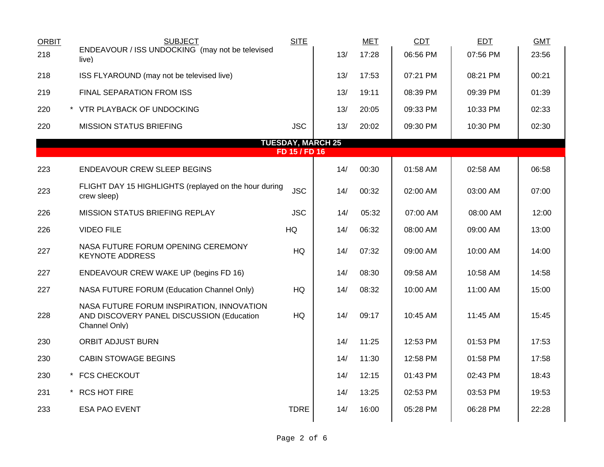| <b>ORBIT</b> | <b>SUBJECT</b><br>ENDEAVOUR / ISS UNDOCKING (may not be televised                                       | <b>SITE</b>   |                          | <b>MET</b> | CDT      | <b>EDT</b> | <b>GMT</b> |
|--------------|---------------------------------------------------------------------------------------------------------|---------------|--------------------------|------------|----------|------------|------------|
| 218          | live)                                                                                                   |               | 13/                      | 17:28      | 06:56 PM | 07:56 PM   | 23:56      |
| 218          | ISS FLYAROUND (may not be televised live)                                                               |               | 13/                      | 17:53      | 07:21 PM | 08:21 PM   | 00:21      |
| 219          | <b>FINAL SEPARATION FROM ISS</b>                                                                        |               | 13/                      | 19:11      | 08:39 PM | 09:39 PM   | 01:39      |
| 220          | * VTR PLAYBACK OF UNDOCKING                                                                             |               | 13/                      | 20:05      | 09:33 PM | 10:33 PM   | 02:33      |
| 220          | <b>MISSION STATUS BRIEFING</b>                                                                          | <b>JSC</b>    | 13/                      | 20:02      | 09:30 PM | 10:30 PM   | 02:30      |
|              |                                                                                                         | FD 15 / FD 16 | <b>TUESDAY, MARCH 25</b> |            |          |            |            |
|              |                                                                                                         |               |                          |            |          |            |            |
| 223          | <b>ENDEAVOUR CREW SLEEP BEGINS</b>                                                                      |               | 14/                      | 00:30      | 01:58 AM | 02:58 AM   | 06:58      |
| 223          | FLIGHT DAY 15 HIGHLIGHTS (replayed on the hour during<br>crew sleep)                                    | <b>JSC</b>    | 14/                      | 00:32      | 02:00 AM | 03:00 AM   | 07:00      |
| 226          | MISSION STATUS BRIEFING REPLAY                                                                          | <b>JSC</b>    | 14/                      | 05:32      | 07:00 AM | 08:00 AM   | 12:00      |
| 226          | <b>VIDEO FILE</b>                                                                                       | HQ            | 14/                      | 06:32      | 08:00 AM | 09:00 AM   | 13:00      |
| 227          | NASA FUTURE FORUM OPENING CEREMONY<br><b>KEYNOTE ADDRESS</b>                                            | HQ            | 14/                      | 07:32      | 09:00 AM | 10:00 AM   | 14:00      |
| 227          | ENDEAVOUR CREW WAKE UP (begins FD 16)                                                                   |               | 14/                      | 08:30      | 09:58 AM | 10:58 AM   | 14:58      |
| 227          | NASA FUTURE FORUM (Education Channel Only)                                                              | HQ            | 14/                      | 08:32      | 10:00 AM | 11:00 AM   | 15:00      |
| 228          | NASA FUTURE FORUM INSPIRATION, INNOVATION<br>AND DISCOVERY PANEL DISCUSSION (Education<br>Channel Only) | <b>HQ</b>     | 14/                      | 09:17      | 10:45 AM | 11:45 AM   | 15:45      |
| 230          | <b>ORBIT ADJUST BURN</b>                                                                                |               | 14/                      | 11:25      | 12:53 PM | 01:53 PM   | 17:53      |
| 230          | <b>CABIN STOWAGE BEGINS</b>                                                                             |               | 14/                      | 11:30      | 12:58 PM | 01:58 PM   | 17:58      |
| 230          | * FCS CHECKOUT                                                                                          |               | 14/                      | 12:15      | 01:43 PM | 02:43 PM   | 18:43      |
| 231          | * RCS HOT FIRE                                                                                          |               | 14/                      | 13:25      | 02:53 PM | 03:53 PM   | 19:53      |
| 233          | <b>ESA PAO EVENT</b>                                                                                    | <b>TDRE</b>   | 14/                      | 16:00      | 05:28 PM | 06:28 PM   | 22:28      |
|              |                                                                                                         |               |                          |            |          |            |            |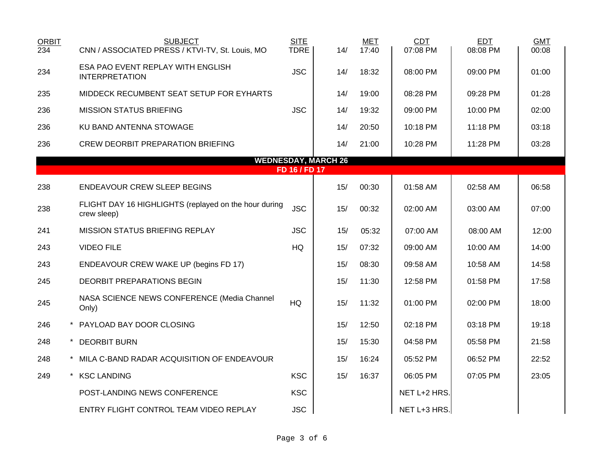| <b>ORBIT</b><br>234 | <b>SUBJECT</b><br>CNN / ASSOCIATED PRESS / KTVI-TV, St. Louis, MO    | <b>SITE</b><br><b>TDRE</b> | 14/                        | <b>MET</b><br>17:40 | <b>CDT</b><br>07:08 PM | <b>EDT</b><br>08:08 PM | <b>GMT</b><br>00:08 |
|---------------------|----------------------------------------------------------------------|----------------------------|----------------------------|---------------------|------------------------|------------------------|---------------------|
| 234                 | ESA PAO EVENT REPLAY WITH ENGLISH<br><b>INTERPRETATION</b>           | <b>JSC</b>                 | 14/                        | 18:32               | 08:00 PM               | 09:00 PM               | 01:00               |
| 235                 | MIDDECK RECUMBENT SEAT SETUP FOR EYHARTS                             |                            | 14/                        | 19:00               | 08:28 PM               | 09:28 PM               | 01:28               |
| 236                 | <b>MISSION STATUS BRIEFING</b>                                       | <b>JSC</b>                 | 14/                        | 19:32               | 09:00 PM               | 10:00 PM               | 02:00               |
| 236                 | KU BAND ANTENNA STOWAGE                                              |                            | 14/                        | 20:50               | 10:18 PM               | 11:18 PM               | 03:18               |
| 236                 | <b>CREW DEORBIT PREPARATION BRIEFING</b>                             |                            | 14/                        | 21:00               | 10:28 PM               | 11:28 PM               | 03:28               |
|                     |                                                                      |                            | <b>WEDNESDAY, MARCH 26</b> |                     |                        |                        |                     |
|                     |                                                                      | FD 16 / FD 17              |                            |                     |                        |                        |                     |
| 238                 | <b>ENDEAVOUR CREW SLEEP BEGINS</b>                                   |                            | 15/                        | 00:30               | 01:58 AM               | 02:58 AM               | 06:58               |
| 238                 | FLIGHT DAY 16 HIGHLIGHTS (replayed on the hour during<br>crew sleep) | <b>JSC</b>                 | 15/                        | 00:32               | 02:00 AM               | 03:00 AM               | 07:00               |
| 241                 | MISSION STATUS BRIEFING REPLAY                                       | <b>JSC</b>                 | 15/                        | 05:32               | 07:00 AM               | 08:00 AM               | 12:00               |
| 243                 | <b>VIDEO FILE</b>                                                    | HQ                         | 15/                        | 07:32               | 09:00 AM               | 10:00 AM               | 14:00               |
| 243                 | ENDEAVOUR CREW WAKE UP (begins FD 17)                                |                            | 15/                        | 08:30               | 09:58 AM               | 10:58 AM               | 14:58               |
| 245                 | DEORBIT PREPARATIONS BEGIN                                           |                            | 15/                        | 11:30               | 12:58 PM               | 01:58 PM               | 17:58               |
| 245                 | NASA SCIENCE NEWS CONFERENCE (Media Channel<br>Only)                 | <b>HQ</b>                  | 15/                        | 11:32               | 01:00 PM               | 02:00 PM               | 18:00               |
| 246                 | * PAYLOAD BAY DOOR CLOSING                                           |                            | 15/                        | 12:50               | 02:18 PM               | 03:18 PM               | 19:18               |
| 248                 | * DEORBIT BURN                                                       |                            | 15/                        | 15:30               | 04:58 PM               | 05:58 PM               | 21:58               |
| 248                 | * MILA C-BAND RADAR ACQUISITION OF ENDEAVOUR                         |                            | 15/                        | 16:24               | 05:52 PM               | 06:52 PM               | 22:52               |
| 249                 | * KSC LANDING                                                        | <b>KSC</b>                 | 15/                        | 16:37               | 06:05 PM               | 07:05 PM               | 23:05               |
|                     | POST-LANDING NEWS CONFERENCE                                         | <b>KSC</b>                 |                            |                     | NET L+2 HRS.           |                        |                     |
|                     | ENTRY FLIGHT CONTROL TEAM VIDEO REPLAY                               | <b>JSC</b>                 |                            |                     | NET L+3 HRS.           |                        |                     |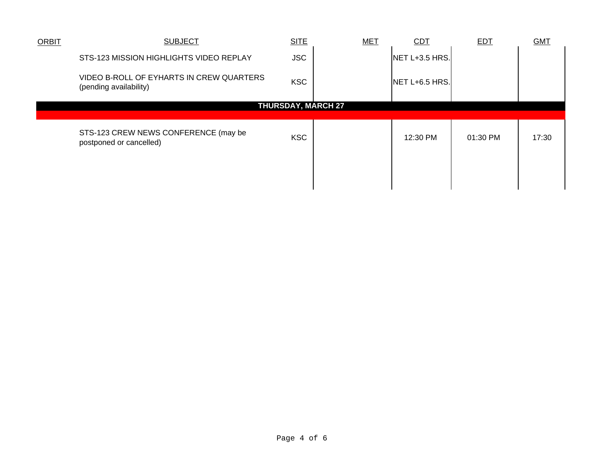| <b>ORBIT</b>              | <b>SUBJECT</b>                                                     | <b>SITE</b> | <b>MET</b> | <b>CDT</b>     | <b>EDT</b> | <b>GMT</b> |  |
|---------------------------|--------------------------------------------------------------------|-------------|------------|----------------|------------|------------|--|
|                           | STS-123 MISSION HIGHLIGHTS VIDEO REPLAY                            | <b>JSC</b>  |            | NET L+3.5 HRS. |            |            |  |
|                           | VIDEO B-ROLL OF EYHARTS IN CREW QUARTERS<br>(pending availability) | <b>KSC</b>  |            | NET L+6.5 HRS. |            |            |  |
| <b>THURSDAY, MARCH 27</b> |                                                                    |             |            |                |            |            |  |
|                           |                                                                    |             |            |                |            |            |  |
|                           | STS-123 CREW NEWS CONFERENCE (may be<br>postponed or cancelled)    | <b>KSC</b>  |            | 12:30 PM       | 01:30 PM   | 17:30      |  |
|                           |                                                                    |             |            |                |            |            |  |
|                           |                                                                    |             |            |                |            |            |  |
|                           |                                                                    |             |            |                |            |            |  |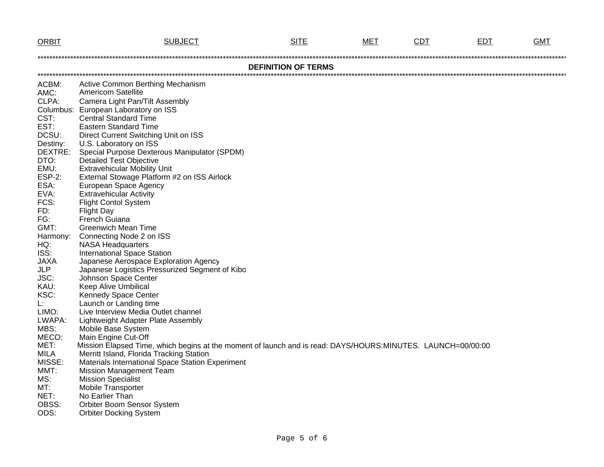| <b>ORBIT</b>  | <b>SUBJECT</b>                                                                                              | <b>SITE</b>                | MET | <b>CDT</b> | EDT | <b>GMT</b> |
|---------------|-------------------------------------------------------------------------------------------------------------|----------------------------|-----|------------|-----|------------|
|               |                                                                                                             |                            |     |            |     |            |
|               |                                                                                                             | <b>DEFINITION OF TERMS</b> |     |            |     |            |
|               |                                                                                                             |                            |     |            |     |            |
| ACBM:         | Active Common Berthing Mechanism<br><b>Americom Satellite</b>                                               |                            |     |            |     |            |
| AMC:          |                                                                                                             |                            |     |            |     |            |
| CLPA:         | Camera Light Pan/Tilt Assembly                                                                              |                            |     |            |     |            |
| CST:          | Columbus: European Laboratory on ISS<br><b>Central Standard Time</b>                                        |                            |     |            |     |            |
| EST:          | <b>Eastern Standard Time</b>                                                                                |                            |     |            |     |            |
| DCSU:         | Direct Current Switching Unit on ISS                                                                        |                            |     |            |     |            |
| Destiny:      | U.S. Laboratory on ISS                                                                                      |                            |     |            |     |            |
| DEXTRE:       | Special Purpose Dexterous Manipulator (SPDM)                                                                |                            |     |            |     |            |
| DTO:          | <b>Detailed Test Objective</b>                                                                              |                            |     |            |     |            |
| EMU:          | <b>Extravehicular Mobility Unit</b>                                                                         |                            |     |            |     |            |
| <b>ESP-2:</b> | External Stowage Platform #2 on ISS Airlock                                                                 |                            |     |            |     |            |
| ESA:          | European Space Agency                                                                                       |                            |     |            |     |            |
| EVA:          | <b>Extravehicular Activity</b>                                                                              |                            |     |            |     |            |
| FCS:          | <b>Flight Contol System</b>                                                                                 |                            |     |            |     |            |
| FD:           | <b>Flight Day</b>                                                                                           |                            |     |            |     |            |
| FG:           | French Guiana                                                                                               |                            |     |            |     |            |
| GMT:          | <b>Greenwich Mean Time</b>                                                                                  |                            |     |            |     |            |
| Harmony:      | Connecting Node 2 on ISS                                                                                    |                            |     |            |     |            |
| HQ:           | <b>NASA Headquarters</b>                                                                                    |                            |     |            |     |            |
| ISS:          | <b>International Space Station</b>                                                                          |                            |     |            |     |            |
| <b>JAXA</b>   | Japanese Aerospace Exploration Agency                                                                       |                            |     |            |     |            |
| <b>JLP</b>    | Japanese Logistics Pressurized Segment of Kibo                                                              |                            |     |            |     |            |
| JSC:          | Johnson Space Center                                                                                        |                            |     |            |     |            |
| KAU:          | Keep Alive Umbilical                                                                                        |                            |     |            |     |            |
| KSC:          | Kennedy Space Center                                                                                        |                            |     |            |     |            |
| L:<br>LIMO:   | Launch or Landing time<br>Live Interview Media Outlet channel                                               |                            |     |            |     |            |
| LWAPA:        | Lightweight Adapter Plate Assembly                                                                          |                            |     |            |     |            |
| MBS:          | Mobile Base System                                                                                          |                            |     |            |     |            |
| MECO:         | Main Engine Cut-Off                                                                                         |                            |     |            |     |            |
| MET:          | Mission Elapsed Time, which begins at the moment of launch and is read: DAYS/HOURS:MINUTES. LAUNCH=00/00:00 |                            |     |            |     |            |
| <b>MILA</b>   | Merritt Island, Florida Tracking Station                                                                    |                            |     |            |     |            |
| MISSE:        | Materials International Space Station Experiment                                                            |                            |     |            |     |            |
| MMT:          | <b>Mission Management Team</b>                                                                              |                            |     |            |     |            |
| MS:           | <b>Mission Specialist</b>                                                                                   |                            |     |            |     |            |
| MT:           | <b>Mobile Transporter</b>                                                                                   |                            |     |            |     |            |
| NET:          | No Earlier Than                                                                                             |                            |     |            |     |            |
| OBSS:         | Orbiter Boom Sensor System                                                                                  |                            |     |            |     |            |
| ODS:          | <b>Orbiter Docking System</b>                                                                               |                            |     |            |     |            |